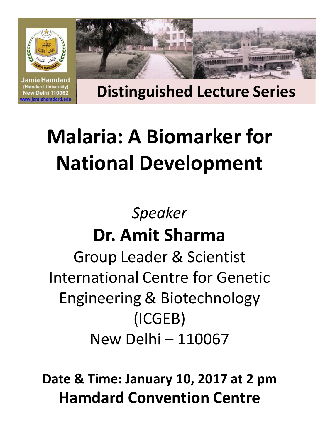

**Distinguished Lecture Series**

# **Malaria: A Biomarker for National Development**

(Hamdard University) New Delhi 110062 ww.jamiahamdard.edu

> *Speaker* **Dr. Amit Sharma** Group Leader & Scientist International Centre for Genetic Engineering & Biotechnology (ICGEB) New Delhi – 110067

**Date & Time: January 10, 2017 at 2 pm Hamdard Convention Centre**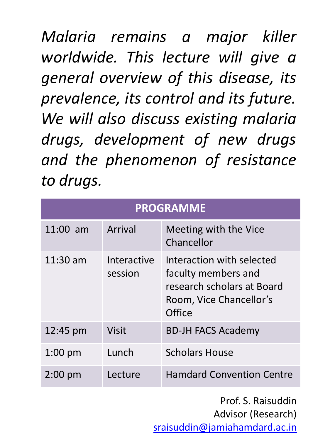*Malaria remains a major killer worldwide. This lecture will give a general overview of this disease, its prevalence, its control and its future. We will also discuss existing malaria drugs, development of new drugs and the phenomenon of resistance to drugs.*

| <b>PROGRAMME</b>  |                        |                                                                                                                     |  |  |
|-------------------|------------------------|---------------------------------------------------------------------------------------------------------------------|--|--|
| $11:00$ am        | <b>Arrival</b>         | Meeting with the Vice<br>Chancellor                                                                                 |  |  |
| $11:30$ am        | Interactive<br>session | Interaction with selected<br>faculty members and<br>research scholars at Board<br>Room, Vice Chancellor's<br>Office |  |  |
| 12:45 pm          | <b>Visit</b>           | <b>BD-JH FACS Academy</b>                                                                                           |  |  |
| $1:00$ pm         | Lunch                  | <b>Scholars House</b>                                                                                               |  |  |
| $2:00 \text{ pm}$ | Lecture                | <b>Hamdard Convention Centre</b>                                                                                    |  |  |

Prof. S. Raisuddin Advisor (Research) [sraisuddin@jamiahamdard.ac.in](mailto:sraisuddin@jamiahamdard.ac.in)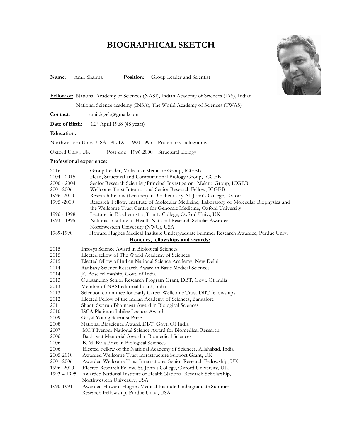## **BIOGRAPHICAL SKETCH**



**Name**: Amit Sharma **Position**: Group Leader and Scientist

**Fellow of:** National Academy of Sciences (NASI), Indian Academy of Sciences (IAS), Indian National Science academy (INSA), The World Academy of Sciences (TWAS)

**Contact:** amit.icgeb@gmail.com

Date of Birth: 12<sup>th</sup> April 1968 (48 years)

#### **Education:**

| Northwestern Univ., USA Ph. D. 1990-1995 Protein crystallography |  |                                       |
|------------------------------------------------------------------|--|---------------------------------------|
| Oxford Univ., UK                                                 |  | Post-doc 1996-2000 Structural biology |

#### **Professional experience:**

| $2016 -$                         | Group Leader, Molecular Medicine Group, ICGEB                                            |  |  |
|----------------------------------|------------------------------------------------------------------------------------------|--|--|
| $2004 - 2015$                    | Head, Structural and Computational Biology Group, ICGEB                                  |  |  |
| $2000 - 2004$                    | Senior Research Scientist/Principal Investigator - Malaria Group, ICGEB                  |  |  |
| 2001-2006                        | Wellcome Trust International Senior Research Fellow, ICGEB                               |  |  |
| 1996 - 2000                      | Research Fellow (Lecturer) in Biochemistry, St. John's College, Oxford                   |  |  |
| 1995 - 2000                      | Research Fellow, Institute of Molecular Medicine, Laboratory of Molecular Biophysics and |  |  |
|                                  | the Wellcome Trust Centre for Genomic Medicine, Oxford University                        |  |  |
| 1996 - 1998                      | Lecturer in Biochemistry, Trinity College, Oxford Univ., UK                              |  |  |
| 1993 - 1995                      | National Institute of Health National Research Scholar Awardee,                          |  |  |
|                                  | Northwestern University (NWU), USA                                                       |  |  |
| 1989-1990                        | Howard Hughes Medical Institute Undergraduate Summer Research Awardee, Purdue Univ.      |  |  |
| Honours, fellowships and awards: |                                                                                          |  |  |
| 2015                             | Infosys Science Award in Biological Sciences                                             |  |  |
| 2015                             | Elected fellow of The World Academy of Sciences                                          |  |  |
| 2015                             | Elected fellow of Indian National Science Academy, New Delhi                             |  |  |
| 2014                             | Ranbaxy Science Research Award in Basic Medical Sciences                                 |  |  |
| 2014                             | JC Bose fellowship, Govt. of India                                                       |  |  |
| 2013                             | Outstanding Senior Research Program Grant, DBT, Govt. Of India                           |  |  |
| 2013                             | Member of NASI editorial board, India                                                    |  |  |
| 2013                             | Selection committee for Early Career Wellcome Trust-DBT fellowships                      |  |  |
| 2012                             | Elected Fellow of the Indian Academy of Sciences, Bangalore                              |  |  |
| 2011                             | Shanti Swarup Bhatnagar Award in Biological Sciences                                     |  |  |
| 2010                             | ISCA Platinum Jubilee Lecture Award                                                      |  |  |
| 2009                             | Goyal Young Scientist Prize                                                              |  |  |
| 2008                             | National Bioscience Award, DBT, Govt. Of India                                           |  |  |
| 2007                             | MOT Iyengar National Science Award for Biomedical Research                               |  |  |
| 2006                             | Bachawat Memorial Award in Biomedical Sciences                                           |  |  |
| 2006                             | B. M. Birla Prize in Biological Sciences                                                 |  |  |
| 2006                             | Elected Fellow of the National Academy of Sciences, Allahabad, India                     |  |  |
| 2005-2010                        | Awarded Wellcome Trust Infrastructure Support Grant, UK                                  |  |  |
| 2001-2006                        | Awarded Wellcome Trust International Senior Research Fellowship, UK                      |  |  |
| 1996 - 2000                      | Elected Research Fellow, St. John's College, Oxford University, UK                       |  |  |
| $1993 - 1995$                    | Awarded National Institute of Health National Research Scholarship,                      |  |  |
|                                  | Northwestern University, USA                                                             |  |  |
| 1990-1991                        | Awarded Howard Hughes Medical Institute Undergraduate Summer                             |  |  |
|                                  | Research Fellowship, Purdue Univ., USA                                                   |  |  |